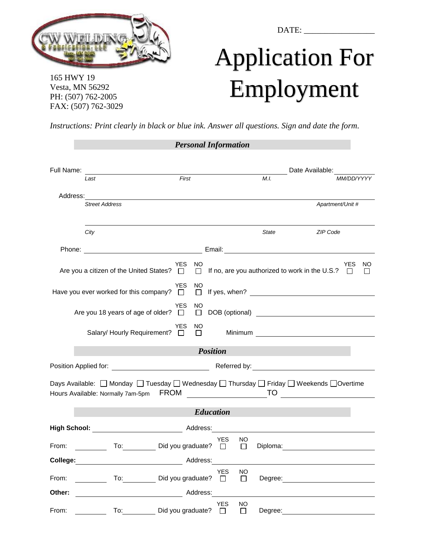

165 HWY 19 Vesta, MN 56292 PH: (507) 762-2005 FAX: (507) 762-3029 DATE: \_\_\_\_\_\_\_\_\_\_\_\_\_\_\_\_\_

## Application For Employment

*Instructions: Print clearly in black or blue ink. Answer all questions. Sign and date the form.*

|                 |                                                                                                                                                                                                                                |                   |          | <b>Personal Information</b> |                     |          |                                                                                                                                                                                                                                                                                                                                                                                                                                                                                    |            |                    |  |
|-----------------|--------------------------------------------------------------------------------------------------------------------------------------------------------------------------------------------------------------------------------|-------------------|----------|-----------------------------|---------------------|----------|------------------------------------------------------------------------------------------------------------------------------------------------------------------------------------------------------------------------------------------------------------------------------------------------------------------------------------------------------------------------------------------------------------------------------------------------------------------------------------|------------|--------------------|--|
|                 |                                                                                                                                                                                                                                |                   |          |                             |                     |          | Date Available:                                                                                                                                                                                                                                                                                                                                                                                                                                                                    |            |                    |  |
|                 | Last                                                                                                                                                                                                                           | First             |          |                             | M.I.                |          |                                                                                                                                                                                                                                                                                                                                                                                                                                                                                    | MM/DD/YYYY |                    |  |
| Address:        | <u> 1989 - Johann Stoff, deutscher Stoffen und der Stoffen und der Stoffen und der Stoffen und der Stoffen und der</u>                                                                                                         |                   |          |                             |                     |          |                                                                                                                                                                                                                                                                                                                                                                                                                                                                                    |            |                    |  |
|                 | <b>Street Address</b>                                                                                                                                                                                                          |                   |          |                             |                     |          | Apartment/Unit #                                                                                                                                                                                                                                                                                                                                                                                                                                                                   |            |                    |  |
|                 | City                                                                                                                                                                                                                           |                   |          |                             |                     | State    | ZIP Code                                                                                                                                                                                                                                                                                                                                                                                                                                                                           |            |                    |  |
|                 |                                                                                                                                                                                                                                |                   |          |                             |                     |          |                                                                                                                                                                                                                                                                                                                                                                                                                                                                                    |            |                    |  |
|                 | Are you a citizen of the United States? $\square$ $\square$ If no, are you authorized to work in the U.S.? $\square$                                                                                                           | YES               | NO.      |                             |                     |          |                                                                                                                                                                                                                                                                                                                                                                                                                                                                                    | YES        | ΝO<br>$\mathsf{L}$ |  |
|                 | Have you ever worked for this company? $\square$                                                                                                                                                                               | <b>YES</b>        | NO.      |                             |                     |          | $\Box$ If yes, when? $\Box$                                                                                                                                                                                                                                                                                                                                                                                                                                                        |            |                    |  |
|                 | Are you 18 years of age of older? $\Box$                                                                                                                                                                                       | YES.              | NO       |                             |                     |          |                                                                                                                                                                                                                                                                                                                                                                                                                                                                                    |            |                    |  |
|                 | Salary/ Hourly Requirement? □                                                                                                                                                                                                  | <b>YES</b>        | NO.<br>П |                             |                     |          |                                                                                                                                                                                                                                                                                                                                                                                                                                                                                    |            |                    |  |
| <b>Position</b> |                                                                                                                                                                                                                                |                   |          |                             |                     |          |                                                                                                                                                                                                                                                                                                                                                                                                                                                                                    |            |                    |  |
|                 |                                                                                                                                                                                                                                |                   |          |                             |                     |          |                                                                                                                                                                                                                                                                                                                                                                                                                                                                                    |            |                    |  |
|                 | Days Available: □ Monday □ Tuesday □ Wednesday □ Thursday □ Friday □ Weekends □ Overtime<br>Hours Available: Normally 7am-5pm FROM                                                                                             |                   |          |                             |                     |          | $\begin{array}{c c} \hline \end{array}$ $\begin{array}{c} \hline \end{array}$ $\begin{array}{c} \hline \end{array}$ $\begin{array}{c} \hline \end{array}$ $\begin{array}{c} \hline \end{array}$ $\begin{array}{c} \hline \end{array}$ $\begin{array}{c} \hline \end{array}$ $\begin{array}{c} \hline \end{array}$ $\begin{array}{c} \hline \end{array}$ $\begin{array}{c} \hline \end{array}$ $\begin{array}{c} \hline \end{array}$ $\begin{array}{c} \hline \end{array}$ $\begin$ |            |                    |  |
| Education       |                                                                                                                                                                                                                                |                   |          |                             |                     |          |                                                                                                                                                                                                                                                                                                                                                                                                                                                                                    |            |                    |  |
|                 |                                                                                                                                                                                                                                |                   |          |                             |                     |          |                                                                                                                                                                                                                                                                                                                                                                                                                                                                                    |            |                    |  |
| From:           | To:                                                                                                                                                                                                                            | Did you graduate? |          | <b>YES</b><br>$\Box$        | NO<br>ΙI            | Diploma: |                                                                                                                                                                                                                                                                                                                                                                                                                                                                                    |            |                    |  |
| College:        |                                                                                                                                                                                                                                |                   | Address: |                             |                     |          |                                                                                                                                                                                                                                                                                                                                                                                                                                                                                    |            |                    |  |
| From:           | To: Did you graduate? □                                                                                                                                                                                                        |                   |          | <b>YES</b>                  | <b>NO</b><br>$\Box$ | Degree:  |                                                                                                                                                                                                                                                                                                                                                                                                                                                                                    |            |                    |  |
| Other:          | Address:                                                                                                                                                                                                                       |                   |          |                             |                     |          |                                                                                                                                                                                                                                                                                                                                                                                                                                                                                    |            |                    |  |
| From:           | To: the contract of the contract of the contract of the contract of the contract of the contract of the contract of the contract of the contract of the contract of the contract of the contract of the contract of the contra | Did you graduate? |          | <b>YES</b><br>$\Box$        | <b>NO</b><br>$\Box$ | Degree:  |                                                                                                                                                                                                                                                                                                                                                                                                                                                                                    |            |                    |  |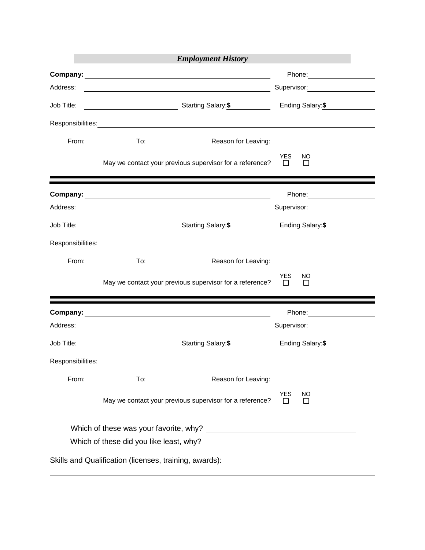| <b>Employment History</b> |                                                                                                                                                                                                                                                                                   |                                       |  |  |  |  |  |  |
|---------------------------|-----------------------------------------------------------------------------------------------------------------------------------------------------------------------------------------------------------------------------------------------------------------------------------|---------------------------------------|--|--|--|--|--|--|
|                           |                                                                                                                                                                                                                                                                                   | Phone: 2000                           |  |  |  |  |  |  |
| Address:                  |                                                                                                                                                                                                                                                                                   | Supervisor:<br><u> Communications</u> |  |  |  |  |  |  |
|                           |                                                                                                                                                                                                                                                                                   | Ending Salary:\$                      |  |  |  |  |  |  |
|                           |                                                                                                                                                                                                                                                                                   |                                       |  |  |  |  |  |  |
|                           | From: To: To: Reason for Leaving: To: The Management Contract Contract Contract Contract Contract Contract Contract Contract Contract Contract Contract Contract Contract Contract Contract Contract Contract Contract Contrac                                                    |                                       |  |  |  |  |  |  |
|                           | May we contact your previous supervisor for a reference? $\Box$                                                                                                                                                                                                                   | <b>YES</b><br>NO.<br>$\perp$          |  |  |  |  |  |  |
|                           |                                                                                                                                                                                                                                                                                   |                                       |  |  |  |  |  |  |
|                           |                                                                                                                                                                                                                                                                                   | Supervisor: 2000                      |  |  |  |  |  |  |
|                           | Job Title: <u>Consumer Starting Salary: \$</u> Ending Salary: Ending Salary: \$                                                                                                                                                                                                   |                                       |  |  |  |  |  |  |
|                           |                                                                                                                                                                                                                                                                                   |                                       |  |  |  |  |  |  |
|                           | From: To: To: To: Reason for Leaving: To: The Management Contract Contract Contract Contract Contract Contract Contract Contract Contract Contract Contract Contract Contract Contract Contract Contract Contract Contract Con                                                    |                                       |  |  |  |  |  |  |
|                           | May we contact your previous supervisor for a reference? $\square$                                                                                                                                                                                                                | YES<br>NO.<br>$\Box$                  |  |  |  |  |  |  |
|                           |                                                                                                                                                                                                                                                                                   |                                       |  |  |  |  |  |  |
| Address:                  |                                                                                                                                                                                                                                                                                   | Supervisor: __________________        |  |  |  |  |  |  |
| Job Title:                | <b>Ending Salary:</b> Starting Salary: <b>\$</b> Finding Salary: <b>\$</b>                                                                                                                                                                                                        |                                       |  |  |  |  |  |  |
| Responsibilities:         |                                                                                                                                                                                                                                                                                   |                                       |  |  |  |  |  |  |
|                           | To: Reason for Leaving: To: Reason for Leaving:<br>From: the contract of the contract of the contract of the contract of the contract of the contract of the contract of the contract of the contract of the contract of the contract of the contract of the contract of the cont |                                       |  |  |  |  |  |  |
|                           | May we contact your previous supervisor for a reference?                                                                                                                                                                                                                          | <b>YES</b><br>NO<br>$\perp$<br>$\Box$ |  |  |  |  |  |  |
|                           |                                                                                                                                                                                                                                                                                   |                                       |  |  |  |  |  |  |
|                           |                                                                                                                                                                                                                                                                                   |                                       |  |  |  |  |  |  |
|                           | Skills and Qualification (licenses, training, awards):                                                                                                                                                                                                                            |                                       |  |  |  |  |  |  |